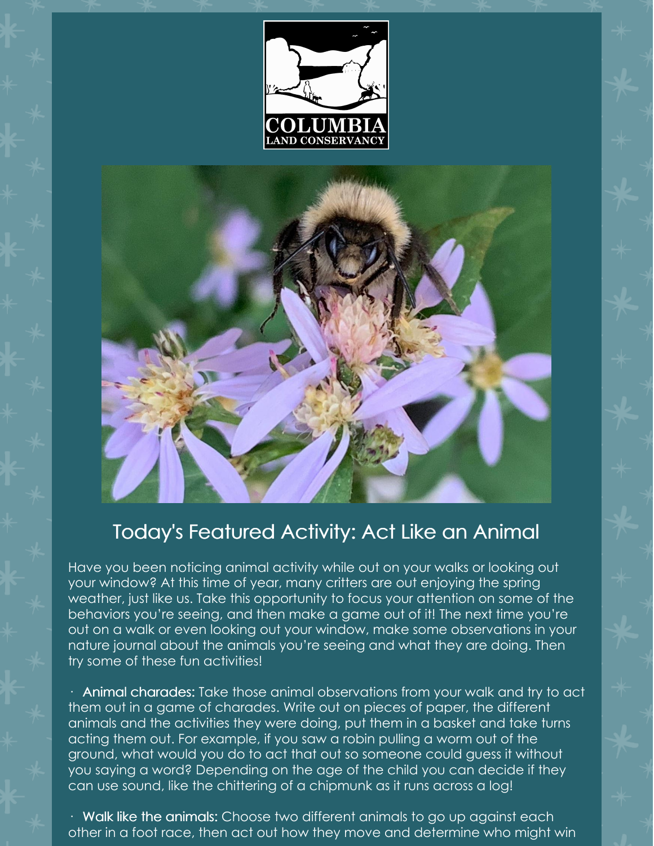



## Today's Featured Activity: Act Like an Animal

Have you been noticing animal activity while out on your walks or looking out your window? At this time of year, many critters are out enjoying the spring weather, just like us. Take this opportunity to focus your attention on some of the behaviors you're seeing, and then make a game out of it! The next time you're out on a walk or even looking out your window, make some observations in your nature journal about the animals you're seeing and what they are doing. Then try some of these fun activities!

 $\cdot$  Animal charades: Take those animal observations from your walk and try to act them out in a game of charades. Write out on pieces of paper, the different animals and the activities they were doing, put them in a basket and take turns acting them out. For example, if you saw a robin pulling a worm out of the ground, what would you do to act that out so someone could guess it without you saying a word? Depending on the age of the child you can decide if they can use sound, like the chittering of a chipmunk as it runs across a log!

· Walk like the animals: Choose two different animals to go up against each other in a foot race, then act out how they move and determine who might win